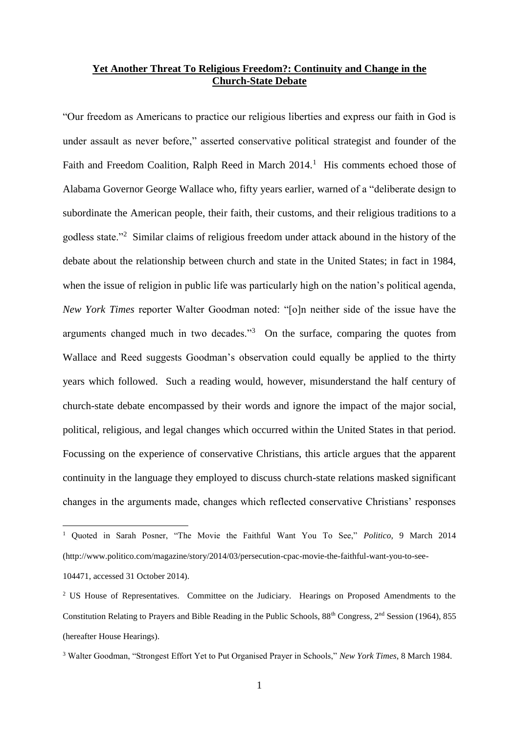## **Yet Another Threat To Religious Freedom?: Continuity and Change in the Church-State Debate**

"Our freedom as Americans to practice our religious liberties and express our faith in God is under assault as never before," asserted conservative political strategist and founder of the Faith and Freedom Coalition, Ralph Reed in March 2014.<sup>1</sup> His comments echoed those of Alabama Governor George Wallace who, fifty years earlier, warned of a "deliberate design to subordinate the American people, their faith, their customs, and their religious traditions to a godless state."<sup>2</sup> Similar claims of religious freedom under attack abound in the history of the debate about the relationship between church and state in the United States; in fact in 1984, when the issue of religion in public life was particularly high on the nation's political agenda, *New York Times* reporter Walter Goodman noted: "[o]n neither side of the issue have the arguments changed much in two decades.<sup>33</sup> On the surface, comparing the quotes from Wallace and Reed suggests Goodman's observation could equally be applied to the thirty years which followed. Such a reading would, however, misunderstand the half century of church-state debate encompassed by their words and ignore the impact of the major social, political, religious, and legal changes which occurred within the United States in that period. Focussing on the experience of conservative Christians, this article argues that the apparent continuity in the language they employed to discuss church-state relations masked significant changes in the arguments made, changes which reflected conservative Christians' responses

<sup>1</sup> Quoted in Sarah Posner, "The Movie the Faithful Want You To See," *Politico*, 9 March 2014 (http://www.politico.com/magazine/story/2014/03/persecution-cpac-movie-the-faithful-want-you-to-see-

<sup>104471,</sup> accessed 31 October 2014).

<sup>&</sup>lt;sup>2</sup> US House of Representatives. Committee on the Judiciary. Hearings on Proposed Amendments to the Constitution Relating to Prayers and Bible Reading in the Public Schools, 88th Congress, 2nd Session (1964), 855 (hereafter House Hearings).

<sup>3</sup> Walter Goodman, "Strongest Effort Yet to Put Organised Prayer in Schools," *New York Times*, 8 March 1984.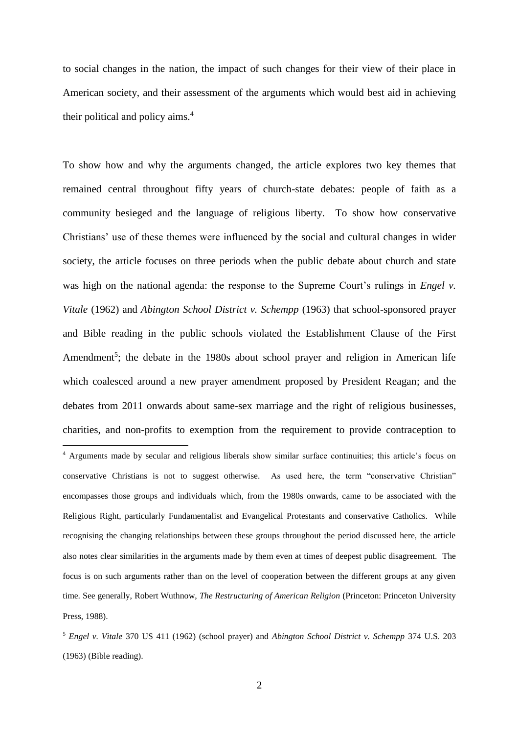to social changes in the nation, the impact of such changes for their view of their place in American society, and their assessment of the arguments which would best aid in achieving their political and policy aims.<sup>4</sup>

To show how and why the arguments changed, the article explores two key themes that remained central throughout fifty years of church-state debates: people of faith as a community besieged and the language of religious liberty. To show how conservative Christians' use of these themes were influenced by the social and cultural changes in wider society, the article focuses on three periods when the public debate about church and state was high on the national agenda: the response to the Supreme Court's rulings in *Engel v. Vitale* (1962) and *Abington School District v. Schempp* (1963) that school-sponsored prayer and Bible reading in the public schools violated the Establishment Clause of the First Amendment<sup>5</sup>; the debate in the 1980s about school prayer and religion in American life which coalesced around a new prayer amendment proposed by President Reagan; and the debates from 2011 onwards about same-sex marriage and the right of religious businesses, charities, and non-profits to exemption from the requirement to provide contraception to 1 <sup>4</sup> Arguments made by secular and religious liberals show similar surface continuities; this article's focus on conservative Christians is not to suggest otherwise. As used here, the term "conservative Christian" encompasses those groups and individuals which, from the 1980s onwards, came to be associated with the Religious Right, particularly Fundamentalist and Evangelical Protestants and conservative Catholics. While recognising the changing relationships between these groups throughout the period discussed here, the article also notes clear similarities in the arguments made by them even at times of deepest public disagreement. The focus is on such arguments rather than on the level of cooperation between the different groups at any given time. See generally, Robert Wuthnow, *The Restructuring of American Religion* (Princeton: Princeton University Press, 1988).

<sup>5</sup> *Engel v. Vitale* 370 US 411 (1962) (school prayer) and *Abington School District v. Schempp* 374 U.S. 203 (1963) (Bible reading).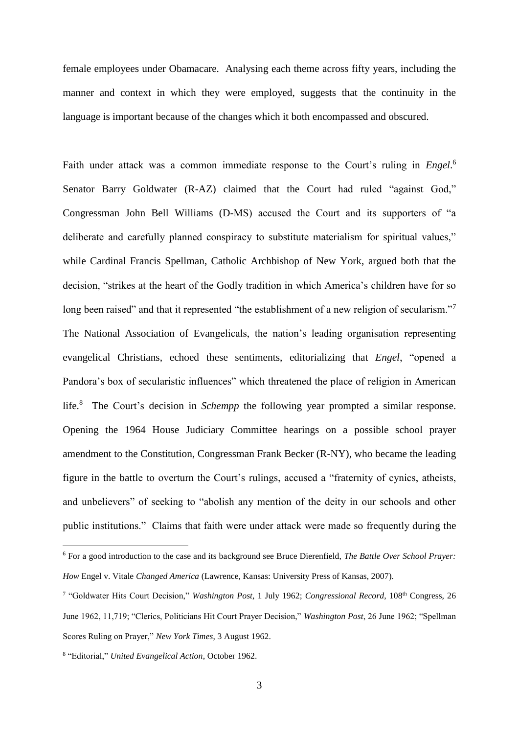female employees under Obamacare. Analysing each theme across fifty years, including the manner and context in which they were employed, suggests that the continuity in the language is important because of the changes which it both encompassed and obscured.

Faith under attack was a common immediate response to the Court's ruling in *Engel*. 6 Senator Barry Goldwater (R-AZ) claimed that the Court had ruled "against God," Congressman John Bell Williams (D-MS) accused the Court and its supporters of "a deliberate and carefully planned conspiracy to substitute materialism for spiritual values," while Cardinal Francis Spellman, Catholic Archbishop of New York, argued both that the decision, "strikes at the heart of the Godly tradition in which America's children have for so long been raised" and that it represented "the establishment of a new religion of secularism."<sup>7</sup> The National Association of Evangelicals, the nation's leading organisation representing evangelical Christians, echoed these sentiments, editorializing that *Engel*, "opened a Pandora's box of secularistic influences" which threatened the place of religion in American life.<sup>8</sup> The Court's decision in *Schempp* the following year prompted a similar response. Opening the 1964 House Judiciary Committee hearings on a possible school prayer amendment to the Constitution, Congressman Frank Becker (R-NY), who became the leading figure in the battle to overturn the Court's rulings, accused a "fraternity of cynics, atheists, and unbelievers" of seeking to "abolish any mention of the deity in our schools and other public institutions." Claims that faith were under attack were made so frequently during the

<sup>6</sup> For a good introduction to the case and its background see Bruce Dierenfield, *The Battle Over School Prayer: How* Engel v. Vitale *Changed America* (Lawrence, Kansas: University Press of Kansas, 2007).

<sup>7</sup> "Goldwater Hits Court Decision," *Washington Post*, 1 July 1962; *Congressional Record*, 108th Congress, 26 June 1962, 11,719; "Clerics, Politicians Hit Court Prayer Decision," *Washington Post*, 26 June 1962; "Spellman Scores Ruling on Prayer," *New York Times*, 3 August 1962.

<sup>8</sup> "Editorial," *United Evangelical Action*, October 1962.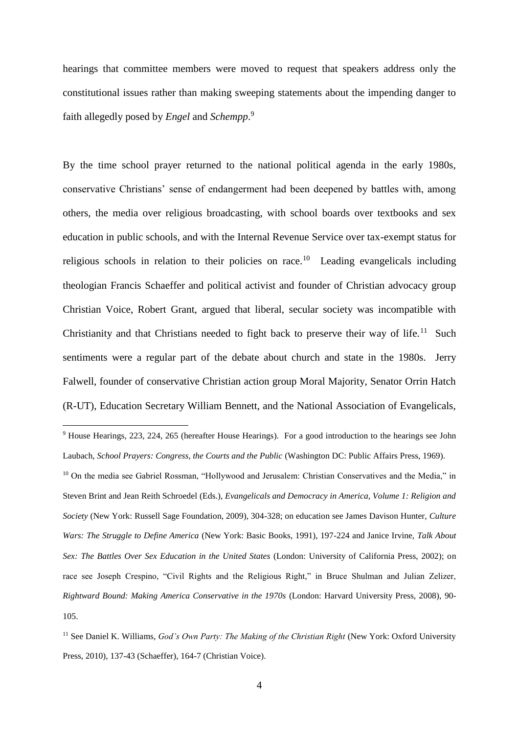hearings that committee members were moved to request that speakers address only the constitutional issues rather than making sweeping statements about the impending danger to faith allegedly posed by *Engel* and *Schempp*. 9

By the time school prayer returned to the national political agenda in the early 1980s, conservative Christians' sense of endangerment had been deepened by battles with, among others, the media over religious broadcasting, with school boards over textbooks and sex education in public schools, and with the Internal Revenue Service over tax-exempt status for religious schools in relation to their policies on race.<sup>10</sup> Leading evangelicals including theologian Francis Schaeffer and political activist and founder of Christian advocacy group Christian Voice, Robert Grant, argued that liberal, secular society was incompatible with Christianity and that Christians needed to fight back to preserve their way of life.<sup>11</sup> Such sentiments were a regular part of the debate about church and state in the 1980s. Jerry Falwell, founder of conservative Christian action group Moral Majority, Senator Orrin Hatch (R-UT), Education Secretary William Bennett, and the National Association of Evangelicals,

<sup>9</sup> House Hearings, 223, 224, 265 (hereafter House Hearings). For a good introduction to the hearings see John Laubach, *School Prayers: Congress, the Courts and the Public* (Washington DC: Public Affairs Press, 1969).

<sup>&</sup>lt;sup>10</sup> On the media see Gabriel Rossman, "Hollywood and Jerusalem: Christian Conservatives and the Media," in Steven Brint and Jean Reith Schroedel (Eds.), *Evangelicals and Democracy in America, Volume 1: Religion and Society* (New York: Russell Sage Foundation, 2009), 304-328; on education see James Davison Hunter, *Culture Wars: The Struggle to Define America* (New York: Basic Books, 1991), 197-224 and Janice Irvine, *Talk About Sex: The Battles Over Sex Education in the United States* (London: University of California Press, 2002); on race see Joseph Crespino, "Civil Rights and the Religious Right," in Bruce Shulman and Julian Zelizer, *Rightward Bound: Making America Conservative in the 1970s* (London: Harvard University Press, 2008), 90- 105.

<sup>11</sup> See Daniel K. Williams, *God's Own Party: The Making of the Christian Right* (New York: Oxford University Press, 2010), 137-43 (Schaeffer), 164-7 (Christian Voice).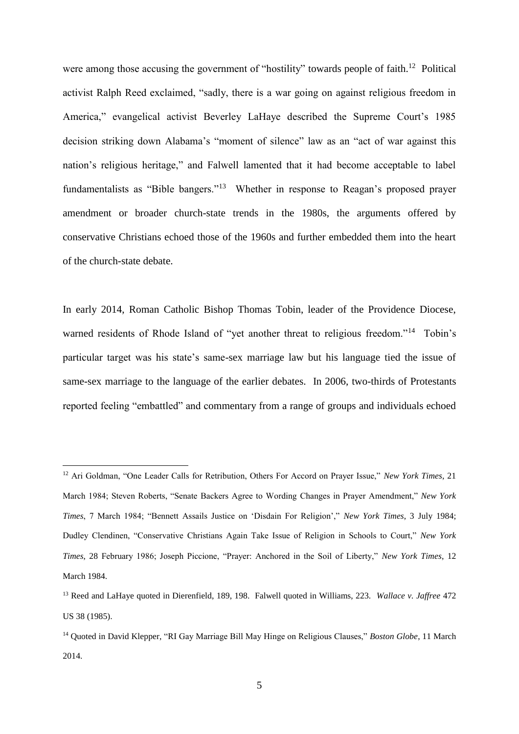were among those accusing the government of "hostility" towards people of faith.<sup>12</sup> Political activist Ralph Reed exclaimed, "sadly, there is a war going on against religious freedom in America," evangelical activist Beverley LaHaye described the Supreme Court's 1985 decision striking down Alabama's "moment of silence" law as an "act of war against this nation's religious heritage," and Falwell lamented that it had become acceptable to label fundamentalists as "Bible bangers."<sup>13</sup> Whether in response to Reagan's proposed prayer amendment or broader church-state trends in the 1980s, the arguments offered by conservative Christians echoed those of the 1960s and further embedded them into the heart of the church-state debate.

In early 2014, Roman Catholic Bishop Thomas Tobin, leader of the Providence Diocese, warned residents of Rhode Island of "yet another threat to religious freedom."<sup>14</sup> Tobin's particular target was his state's same-sex marriage law but his language tied the issue of same-sex marriage to the language of the earlier debates. In 2006, two-thirds of Protestants reported feeling "embattled" and commentary from a range of groups and individuals echoed

<sup>12</sup> Ari Goldman, "One Leader Calls for Retribution, Others For Accord on Prayer Issue," *New York Times*, 21 March 1984; Steven Roberts, "Senate Backers Agree to Wording Changes in Prayer Amendment," *New York Times*, 7 March 1984; "Bennett Assails Justice on 'Disdain For Religion'," *New York Times*, 3 July 1984; Dudley Clendinen, "Conservative Christians Again Take Issue of Religion in Schools to Court," *New York Times*, 28 February 1986; Joseph Piccione, "Prayer: Anchored in the Soil of Liberty," *New York Times*, 12 March 1984.

<sup>13</sup> Reed and LaHaye quoted in Dierenfield, 189, 198. Falwell quoted in Williams, 223. *Wallace v. Jaffree* 472 US 38 (1985).

<sup>14</sup> Quoted in David Klepper, "RI Gay Marriage Bill May Hinge on Religious Clauses," *Boston Globe*, 11 March 2014.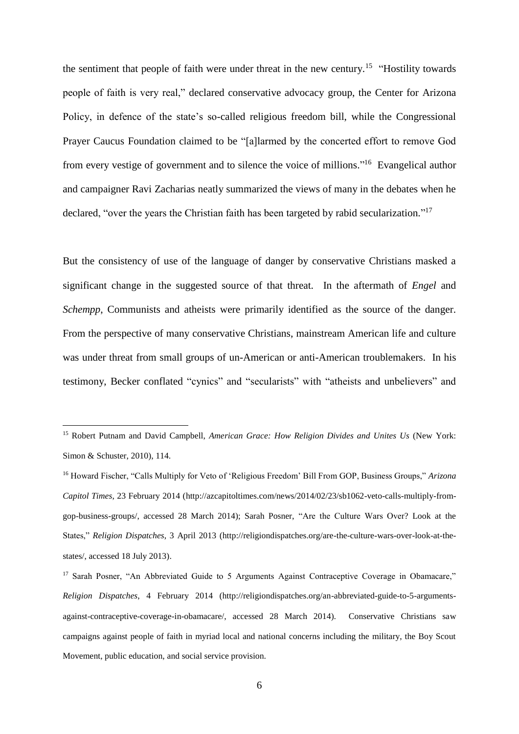the sentiment that people of faith were under threat in the new century.<sup>15</sup> "Hostility towards" people of faith is very real," declared conservative advocacy group, the Center for Arizona Policy, in defence of the state's so-called religious freedom bill, while the Congressional Prayer Caucus Foundation claimed to be "[a]larmed by the concerted effort to remove God from every vestige of government and to silence the voice of millions."<sup>16</sup> Evangelical author and campaigner Ravi Zacharias neatly summarized the views of many in the debates when he declared, "over the years the Christian faith has been targeted by rabid secularization."<sup>17</sup>

But the consistency of use of the language of danger by conservative Christians masked a significant change in the suggested source of that threat. In the aftermath of *Engel* and *Schempp*, Communists and atheists were primarily identified as the source of the danger. From the perspective of many conservative Christians, mainstream American life and culture was under threat from small groups of un-American or anti-American troublemakers. In his testimony, Becker conflated "cynics" and "secularists" with "atheists and unbelievers" and

<sup>15</sup> Robert Putnam and David Campbell, *American Grace: How Religion Divides and Unites Us* (New York: Simon & Schuster, 2010), 114.

<sup>16</sup> Howard Fischer, "Calls Multiply for Veto of 'Religious Freedom' Bill From GOP, Business Groups," *Arizona Capitol Times*, 23 February 2014 (http://azcapitoltimes.com/news/2014/02/23/sb1062-veto-calls-multiply-fromgop-business-groups/, accessed 28 March 2014); Sarah Posner, "Are the Culture Wars Over? Look at the States," *Religion Dispatches*, 3 April 2013 (http://religiondispatches.org/are-the-culture-wars-over-look-at-thestates/, accessed 18 July 2013).

<sup>&</sup>lt;sup>17</sup> Sarah Posner, "An Abbreviated Guide to 5 Arguments Against Contraceptive Coverage in Obamacare," *Religion Dispatches*, 4 February 2014 (http://religiondispatches.org/an-abbreviated-guide-to-5-argumentsagainst-contraceptive-coverage-in-obamacare/, accessed 28 March 2014). Conservative Christians saw campaigns against people of faith in myriad local and national concerns including the military, the Boy Scout Movement, public education, and social service provision.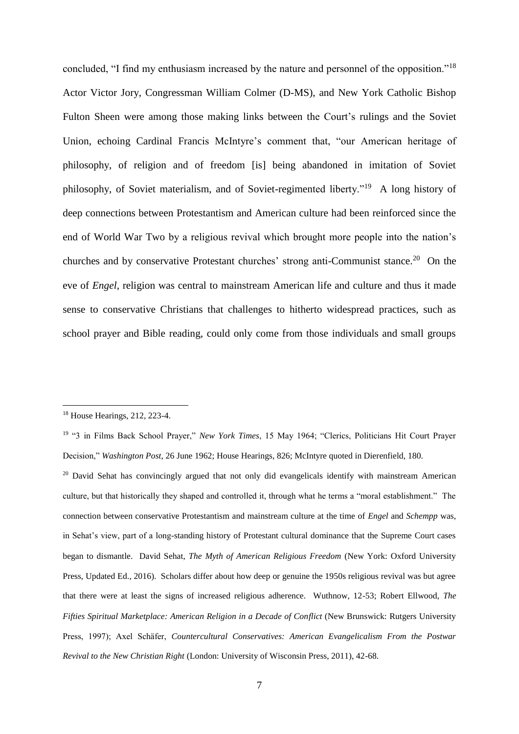concluded, "I find my enthusiasm increased by the nature and personnel of the opposition."<sup>18</sup> Actor Victor Jory, Congressman William Colmer (D-MS), and New York Catholic Bishop Fulton Sheen were among those making links between the Court's rulings and the Soviet Union, echoing Cardinal Francis McIntyre's comment that, "our American heritage of philosophy, of religion and of freedom [is] being abandoned in imitation of Soviet philosophy, of Soviet materialism, and of Soviet-regimented liberty."<sup>19</sup> A long history of deep connections between Protestantism and American culture had been reinforced since the end of World War Two by a religious revival which brought more people into the nation's churches and by conservative Protestant churches' strong anti-Communist stance.<sup>20</sup> On the eve of *Engel*, religion was central to mainstream American life and culture and thus it made sense to conservative Christians that challenges to hitherto widespread practices, such as school prayer and Bible reading, could only come from those individuals and small groups

<sup>18</sup> House Hearings, 212, 223-4.

<sup>19</sup> "3 in Films Back School Prayer," *New York Times*, 15 May 1964; "Clerics, Politicians Hit Court Prayer Decision," *Washington Post*, 26 June 1962; House Hearings, 826; McIntyre quoted in Dierenfield, 180.

<sup>&</sup>lt;sup>20</sup> David Sehat has convincingly argued that not only did evangelicals identify with mainstream American culture, but that historically they shaped and controlled it, through what he terms a "moral establishment." The connection between conservative Protestantism and mainstream culture at the time of *Engel* and *Schempp* was, in Sehat's view, part of a long-standing history of Protestant cultural dominance that the Supreme Court cases began to dismantle. David Sehat, *The Myth of American Religious Freedom* (New York: Oxford University Press, Updated Ed., 2016). Scholars differ about how deep or genuine the 1950s religious revival was but agree that there were at least the signs of increased religious adherence. Wuthnow, 12-53; Robert Ellwood, *The Fifties Spiritual Marketplace: American Religion in a Decade of Conflict* (New Brunswick: Rutgers University Press, 1997); Axel Schӓfer, *Countercultural Conservatives: American Evangelicalism From the Postwar Revival to the New Christian Right* (London: University of Wisconsin Press, 2011), 42-68.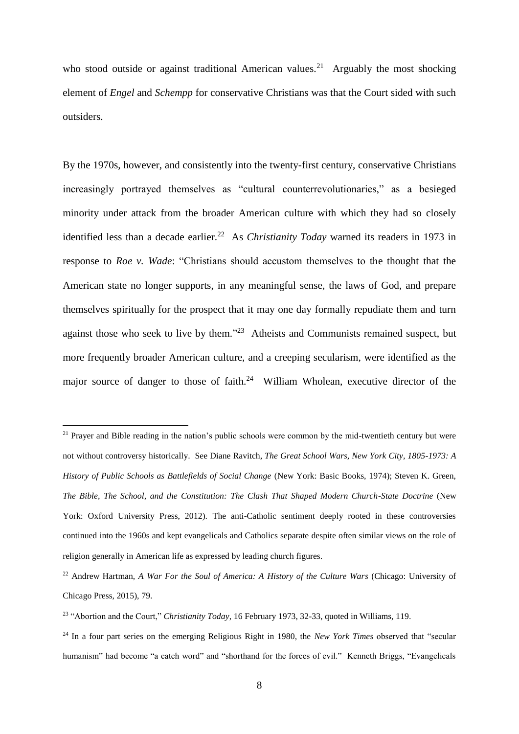who stood outside or against traditional American values.<sup>21</sup> Arguably the most shocking element of *Engel* and *Schempp* for conservative Christians was that the Court sided with such outsiders.

By the 1970s, however, and consistently into the twenty-first century, conservative Christians increasingly portrayed themselves as "cultural counterrevolutionaries," as a besieged minority under attack from the broader American culture with which they had so closely identified less than a decade earlier.<sup>22</sup> As *Christianity Today* warned its readers in 1973 in response to *Roe v. Wade*: "Christians should accustom themselves to the thought that the American state no longer supports, in any meaningful sense, the laws of God, and prepare themselves spiritually for the prospect that it may one day formally repudiate them and turn against those who seek to live by them."<sup>23</sup> Atheists and Communists remained suspect, but more frequently broader American culture, and a creeping secularism, were identified as the major source of danger to those of faith.<sup>24</sup> William Wholean, executive director of the

<sup>&</sup>lt;sup>21</sup> Prayer and Bible reading in the nation's public schools were common by the mid-twentieth century but were not without controversy historically. See Diane Ravitch, *The Great School Wars, New York City, 1805-1973: A History of Public Schools as Battlefields of Social Change* (New York: Basic Books, 1974); Steven K. Green, *The Bible, The School, and the Constitution: The Clash That Shaped Modern Church-State Doctrine* (New York: Oxford University Press, 2012). The anti-Catholic sentiment deeply rooted in these controversies continued into the 1960s and kept evangelicals and Catholics separate despite often similar views on the role of religion generally in American life as expressed by leading church figures.

<sup>22</sup> Andrew Hartman, *A War For the Soul of America: A History of the Culture Wars* (Chicago: University of Chicago Press, 2015), 79.

<sup>23</sup> "Abortion and the Court," *Christianity Today*, 16 February 1973, 32-33, quoted in Williams, 119.

<sup>&</sup>lt;sup>24</sup> In a four part series on the emerging Religious Right in 1980, the *New York Times* observed that "secular humanism" had become "a catch word" and "shorthand for the forces of evil." Kenneth Briggs, "Evangelicals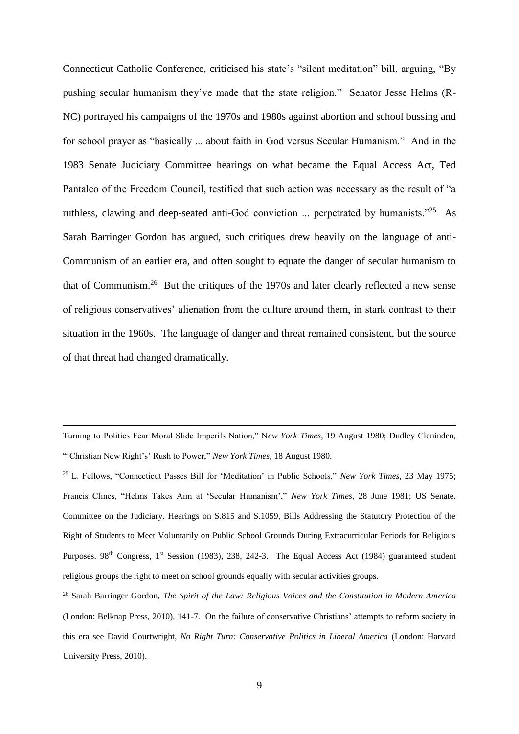Connecticut Catholic Conference, criticised his state's "silent meditation" bill, arguing, "By pushing secular humanism they've made that the state religion." Senator Jesse Helms (R-NC) portrayed his campaigns of the 1970s and 1980s against abortion and school bussing and for school prayer as "basically ... about faith in God versus Secular Humanism." And in the 1983 Senate Judiciary Committee hearings on what became the Equal Access Act, Ted Pantaleo of the Freedom Council, testified that such action was necessary as the result of "a ruthless, clawing and deep-seated anti-God conviction ... perpetrated by humanists."<sup>25</sup> As Sarah Barringer Gordon has argued, such critiques drew heavily on the language of anti-Communism of an earlier era, and often sought to equate the danger of secular humanism to that of Communism.<sup>26</sup> But the critiques of the 1970s and later clearly reflected a new sense of religious conservatives' alienation from the culture around them, in stark contrast to their situation in the 1960s. The language of danger and threat remained consistent, but the source of that threat had changed dramatically.

Turning to Politics Fear Moral Slide Imperils Nation," N*ew York Times*, 19 August 1980; Dudley Cleninden, "'Christian New Right's' Rush to Power," *New York Times*, 18 August 1980.

<sup>25</sup> L. Fellows, "Connecticut Passes Bill for 'Meditation' in Public Schools," *New York Times*, 23 May 1975; Francis Clines, "Helms Takes Aim at 'Secular Humanism'," *New York Times*, 28 June 1981; US Senate. Committee on the Judiciary. Hearings on S.815 and S.1059, Bills Addressing the Statutory Protection of the Right of Students to Meet Voluntarily on Public School Grounds During Extracurricular Periods for Religious Purposes. 98<sup>th</sup> Congress, 1<sup>st</sup> Session (1983), 238, 242-3. The Equal Access Act (1984) guaranteed student religious groups the right to meet on school grounds equally with secular activities groups.

<sup>26</sup> Sarah Barringer Gordon, *The Spirit of the Law: Religious Voices and the Constitution in Modern America* (London: Belknap Press, 2010), 141-7. On the failure of conservative Christians' attempts to reform society in this era see David Courtwright, *No Right Turn: Conservative Politics in Liberal America* (London: Harvard University Press, 2010).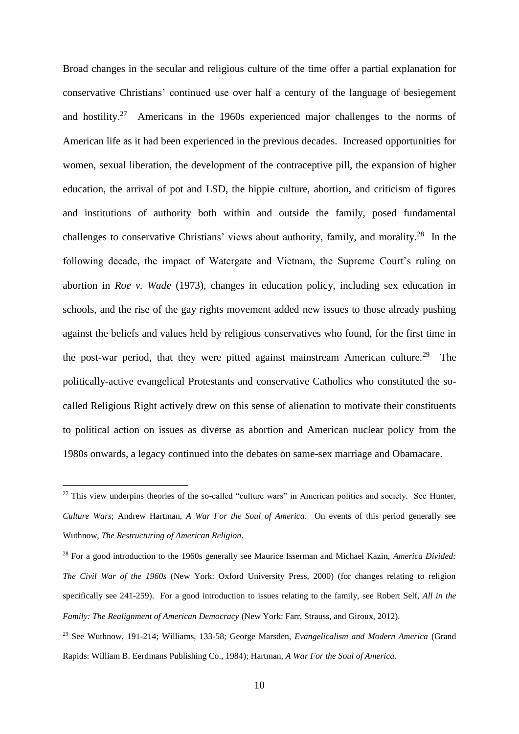Broad changes in the secular and religious culture of the time offer a partial explanation for conservative Christians' continued use over half a century of the language of besiegement and hostility.<sup>27</sup> Americans in the 1960s experienced major challenges to the norms of American life as it had been experienced in the previous decades. Increased opportunities for women, sexual liberation, the development of the contraceptive pill, the expansion of higher education, the arrival of pot and LSD, the hippie culture, abortion, and criticism of figures and institutions of authority both within and outside the family, posed fundamental challenges to conservative Christians' views about authority, family, and morality. $^{28}$  In the following decade, the impact of Watergate and Vietnam, the Supreme Court's ruling on abortion in *Roe v. Wade* (1973), changes in education policy, including sex education in schools, and the rise of the gay rights movement added new issues to those already pushing against the beliefs and values held by religious conservatives who found, for the first time in the post-war period, that they were pitted against mainstream American culture.<sup>29</sup> The politically-active evangelical Protestants and conservative Catholics who constituted the socalled Religious Right actively drew on this sense of alienation to motivate their constituents to political action on issues as diverse as abortion and American nuclear policy from the 1980s onwards, a legacy continued into the debates on same-sex marriage and Obamacare.

<sup>&</sup>lt;sup>27</sup> This view underpins theories of the so-called "culture wars" in American politics and society. See Hunter, *Culture Wars*; Andrew Hartman, *A War For the Soul of America*. On events of this period generally see Wuthnow, *The Restructuring of American Religion*.

<sup>28</sup> For a good introduction to the 1960s generally see Maurice Isserman and Michael Kazin, *America Divided: The Civil War of the 1960s* (New York: Oxford University Press, 2000) (for changes relating to religion specifically see 241-259). For a good introduction to issues relating to the family, see Robert Self, *All in the Family: The Realignment of American Democracy* (New York: Farr, Strauss, and Giroux, 2012).

<sup>29</sup> See Wuthnow, 191-214; Williams, 133-58; George Marsden, *Evangelicalism and Modern America* (Grand Rapids: William B. Eerdmans Publishing Co., 1984); Hartman, *A War For the Soul of America*.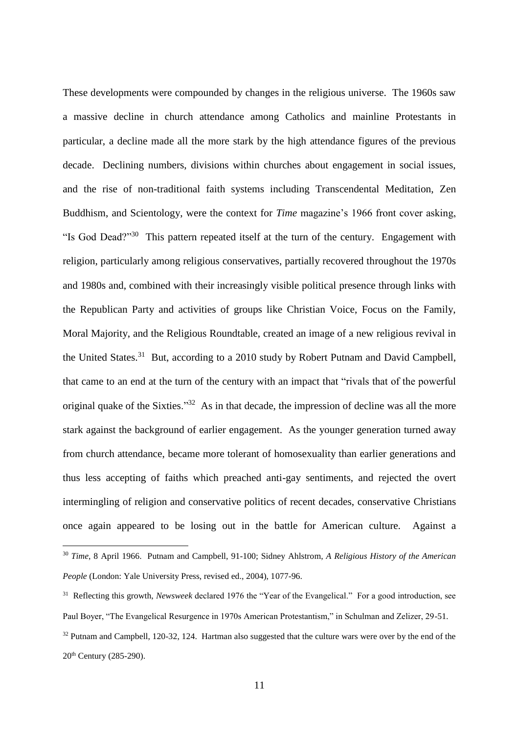These developments were compounded by changes in the religious universe. The 1960s saw a massive decline in church attendance among Catholics and mainline Protestants in particular, a decline made all the more stark by the high attendance figures of the previous decade. Declining numbers, divisions within churches about engagement in social issues, and the rise of non-traditional faith systems including Transcendental Meditation, Zen Buddhism, and Scientology, were the context for *Time* magazine's 1966 front cover asking, "Is God Dead?"<sup>30</sup> This pattern repeated itself at the turn of the century. Engagement with religion, particularly among religious conservatives, partially recovered throughout the 1970s and 1980s and, combined with their increasingly visible political presence through links with the Republican Party and activities of groups like Christian Voice, Focus on the Family, Moral Majority, and the Religious Roundtable, created an image of a new religious revival in the United States.<sup>31</sup> But, according to a 2010 study by Robert Putnam and David Campbell, that came to an end at the turn of the century with an impact that "rivals that of the powerful original quake of the Sixties."<sup>32</sup> As in that decade, the impression of decline was all the more stark against the background of earlier engagement. As the younger generation turned away from church attendance, became more tolerant of homosexuality than earlier generations and thus less accepting of faiths which preached anti-gay sentiments, and rejected the overt intermingling of religion and conservative politics of recent decades, conservative Christians once again appeared to be losing out in the battle for American culture. Against a

<sup>30</sup> *Time*, 8 April 1966. Putnam and Campbell, 91-100; Sidney Ahlstrom, *A Religious History of the American People* (London: Yale University Press, revised ed., 2004), 1077-96.

<sup>&</sup>lt;sup>31</sup> Reflecting this growth, *Newsweek* declared 1976 the "Year of the Evangelical." For a good introduction, see Paul Boyer, "The Evangelical Resurgence in 1970s American Protestantism," in Schulman and Zelizer, 29-51.

<sup>&</sup>lt;sup>32</sup> Putnam and Campbell, 120-32, 124. Hartman also suggested that the culture wars were over by the end of the 20th Century (285-290).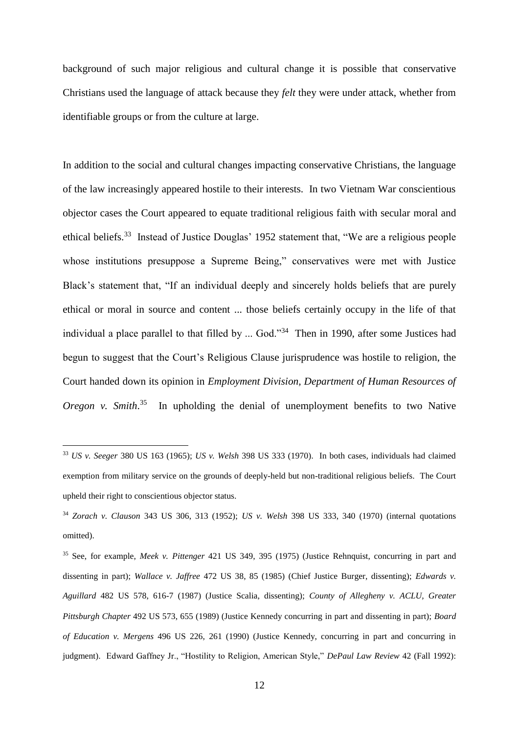background of such major religious and cultural change it is possible that conservative Christians used the language of attack because they *felt* they were under attack, whether from identifiable groups or from the culture at large.

In addition to the social and cultural changes impacting conservative Christians, the language of the law increasingly appeared hostile to their interests. In two Vietnam War conscientious objector cases the Court appeared to equate traditional religious faith with secular moral and ethical beliefs.<sup>33</sup> Instead of Justice Douglas' 1952 statement that, "We are a religious people whose institutions presuppose a Supreme Being," conservatives were met with Justice Black's statement that, "If an individual deeply and sincerely holds beliefs that are purely ethical or moral in source and content ... those beliefs certainly occupy in the life of that individual a place parallel to that filled by ... God."<sup>34</sup> Then in 1990, after some Justices had begun to suggest that the Court's Religious Clause jurisprudence was hostile to religion, the Court handed down its opinion in *Employment Division, Department of Human Resources of*  Oregon v. Smith.<sup>35</sup> In upholding the denial of unemployment benefits to two Native

<sup>33</sup> *US v. Seeger* 380 US 163 (1965); *US v. Welsh* 398 US 333 (1970). In both cases, individuals had claimed exemption from military service on the grounds of deeply-held but non-traditional religious beliefs. The Court upheld their right to conscientious objector status.

<sup>34</sup> *Zorach v. Clauson* 343 US 306, 313 (1952); *US v. Welsh* 398 US 333, 340 (1970) (internal quotations omitted).

<sup>35</sup> See, for example, *Meek v. Pittenger* 421 US 349, 395 (1975) (Justice Rehnquist, concurring in part and dissenting in part); *Wallace v. Jaffree* 472 US 38, 85 (1985) (Chief Justice Burger, dissenting); *Edwards v. Aguillard* 482 US 578, 616-7 (1987) (Justice Scalia, dissenting); *County of Allegheny v. ACLU, Greater Pittsburgh Chapter* 492 US 573, 655 (1989) (Justice Kennedy concurring in part and dissenting in part); *Board of Education v. Mergens* 496 US 226, 261 (1990) (Justice Kennedy, concurring in part and concurring in judgment). Edward Gaffney Jr., "Hostility to Religion, American Style," *DePaul Law Review* 42 (Fall 1992):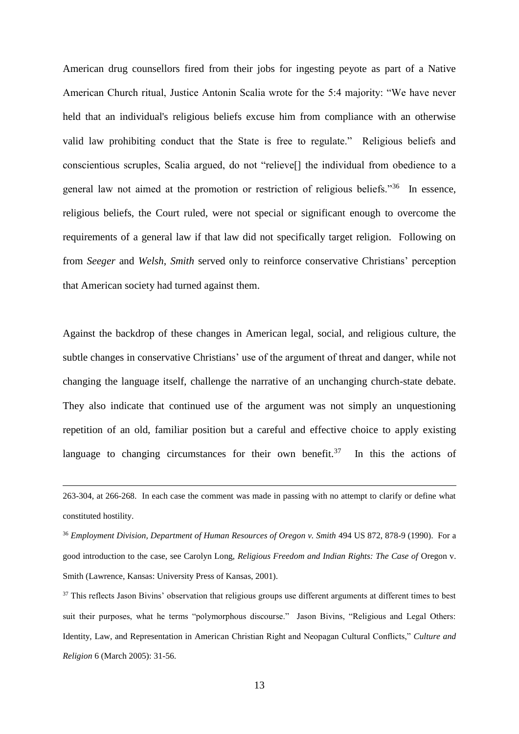American drug counsellors fired from their jobs for ingesting peyote as part of a Native American Church ritual, Justice Antonin Scalia wrote for the 5:4 majority: "We have never held that an individual's religious beliefs excuse him from compliance with an otherwise valid law prohibiting conduct that the State is free to regulate." Religious beliefs and conscientious scruples, Scalia argued, do not "relieve[] the individual from obedience to a general law not aimed at the promotion or restriction of religious beliefs."<sup>36</sup> In essence, religious beliefs, the Court ruled, were not special or significant enough to overcome the requirements of a general law if that law did not specifically target religion. Following on from *Seeger* and *Welsh*, *Smith* served only to reinforce conservative Christians' perception that American society had turned against them.

Against the backdrop of these changes in American legal, social, and religious culture, the subtle changes in conservative Christians' use of the argument of threat and danger, while not changing the language itself, challenge the narrative of an unchanging church-state debate. They also indicate that continued use of the argument was not simply an unquestioning repetition of an old, familiar position but a careful and effective choice to apply existing language to changing circumstances for their own benefit.<sup>37</sup> In this the actions of

<sup>263-304,</sup> at 266-268. In each case the comment was made in passing with no attempt to clarify or define what constituted hostility.

<sup>&</sup>lt;sup>36</sup> *Employment Division, Department of Human Resources of Oregon v. Smith* 494 US 872, 878-9 (1990). For a good introduction to the case, see Carolyn Long, *Religious Freedom and Indian Rights: The Case of* Oregon v. Smith (Lawrence, Kansas: University Press of Kansas, 2001).

 $37$  This reflects Jason Bivins' observation that religious groups use different arguments at different times to best suit their purposes, what he terms "polymorphous discourse." Jason Bivins, "Religious and Legal Others: Identity, Law, and Representation in American Christian Right and Neopagan Cultural Conflicts," *Culture and Religion* 6 (March 2005): 31-56.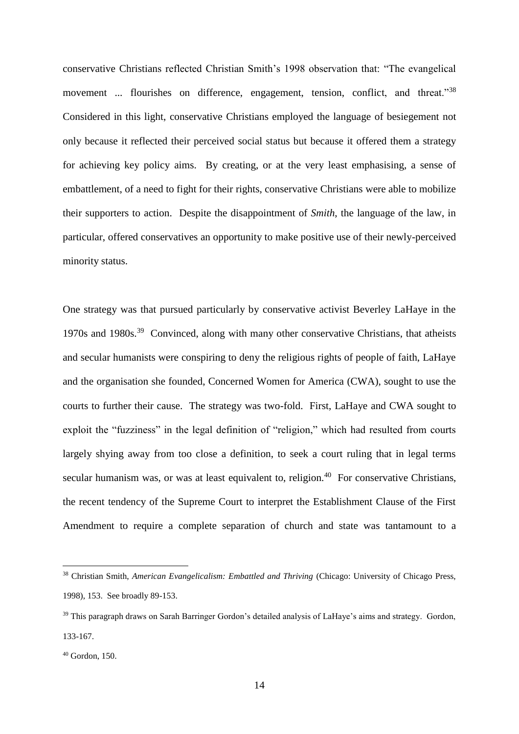conservative Christians reflected Christian Smith's 1998 observation that: "The evangelical movement ... flourishes on difference, engagement, tension, conflict, and threat."<sup>38</sup> Considered in this light, conservative Christians employed the language of besiegement not only because it reflected their perceived social status but because it offered them a strategy for achieving key policy aims. By creating, or at the very least emphasising, a sense of embattlement, of a need to fight for their rights, conservative Christians were able to mobilize their supporters to action. Despite the disappointment of *Smith*, the language of the law, in particular, offered conservatives an opportunity to make positive use of their newly-perceived minority status.

One strategy was that pursued particularly by conservative activist Beverley LaHaye in the 1970s and 1980s.<sup>39</sup> Convinced, along with many other conservative Christians, that atheists and secular humanists were conspiring to deny the religious rights of people of faith, LaHaye and the organisation she founded, Concerned Women for America (CWA), sought to use the courts to further their cause. The strategy was two-fold. First, LaHaye and CWA sought to exploit the "fuzziness" in the legal definition of "religion," which had resulted from courts largely shying away from too close a definition, to seek a court ruling that in legal terms secular humanism was, or was at least equivalent to, religion.<sup>40</sup> For conservative Christians, the recent tendency of the Supreme Court to interpret the Establishment Clause of the First Amendment to require a complete separation of church and state was tantamount to a

<sup>38</sup> Christian Smith, *American Evangelicalism: Embattled and Thriving* (Chicago: University of Chicago Press, 1998), 153. See broadly 89-153.

<sup>&</sup>lt;sup>39</sup> This paragraph draws on Sarah Barringer Gordon's detailed analysis of LaHaye's aims and strategy. Gordon, 133-167.

<sup>40</sup> Gordon, 150.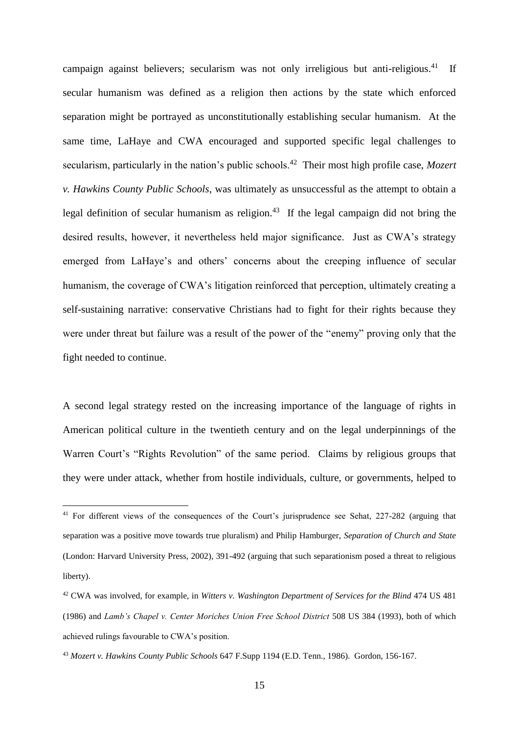campaign against believers; secularism was not only irreligious but anti-religious.<sup>41</sup> If secular humanism was defined as a religion then actions by the state which enforced separation might be portrayed as unconstitutionally establishing secular humanism. At the same time, LaHaye and CWA encouraged and supported specific legal challenges to secularism, particularly in the nation's public schools.<sup>42</sup> Their most high profile case, *Mozert v. Hawkins County Public Schools*, was ultimately as unsuccessful as the attempt to obtain a legal definition of secular humanism as religion.<sup>43</sup> If the legal campaign did not bring the desired results, however, it nevertheless held major significance. Just as CWA's strategy emerged from LaHaye's and others' concerns about the creeping influence of secular humanism, the coverage of CWA's litigation reinforced that perception, ultimately creating a self-sustaining narrative: conservative Christians had to fight for their rights because they were under threat but failure was a result of the power of the "enemy" proving only that the fight needed to continue.

A second legal strategy rested on the increasing importance of the language of rights in American political culture in the twentieth century and on the legal underpinnings of the Warren Court's "Rights Revolution" of the same period. Claims by religious groups that they were under attack, whether from hostile individuals, culture, or governments, helped to

<sup>41</sup> For different views of the consequences of the Court's jurisprudence see Sehat, 227-282 (arguing that separation was a positive move towards true pluralism) and Philip Hamburger, *Separation of Church and State* (London: Harvard University Press, 2002), 391-492 (arguing that such separationism posed a threat to religious liberty).

<sup>42</sup> CWA was involved, for example, in *Witters v. Washington Department of Services for the Blind* 474 US 481 (1986) and *Lamb's Chapel v. Center Moriches Union Free School District* 508 US 384 (1993), both of which achieved rulings favourable to CWA's position.

<sup>43</sup> *Mozert v. Hawkins County Public Schools* 647 F.Supp 1194 (E.D. Tenn., 1986). Gordon, 156-167.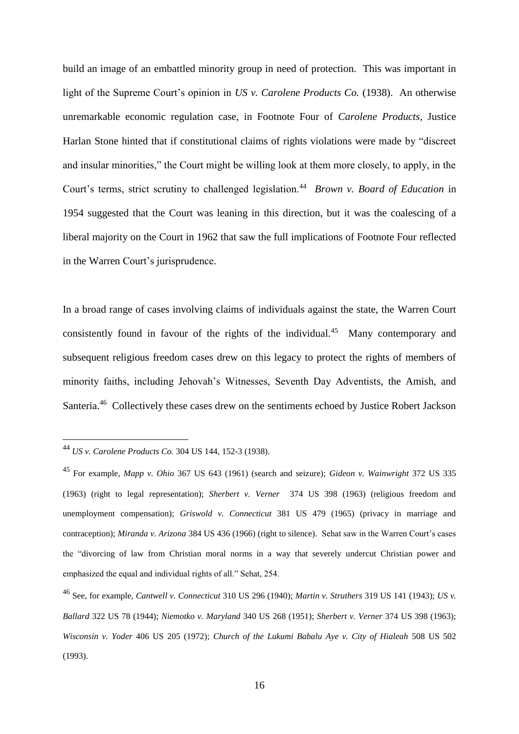build an image of an embattled minority group in need of protection. This was important in light of the Supreme Court's opinion in *US v. Carolene Products Co.* (1938). An otherwise unremarkable economic regulation case, in Footnote Four of *Carolene Products*, Justice Harlan Stone hinted that if constitutional claims of rights violations were made by "discreet and insular minorities," the Court might be willing look at them more closely, to apply, in the Court's terms, strict scrutiny to challenged legislation.<sup>44</sup> Brown v. Board of Education in 1954 suggested that the Court was leaning in this direction, but it was the coalescing of a liberal majority on the Court in 1962 that saw the full implications of Footnote Four reflected in the Warren Court's jurisprudence.

In a broad range of cases involving claims of individuals against the state, the Warren Court consistently found in favour of the rights of the individual.<sup>45</sup> Many contemporary and subsequent religious freedom cases drew on this legacy to protect the rights of members of minority faiths, including Jehovah's Witnesses, Seventh Day Adventists, the Amish, and Santeria.<sup>46</sup> Collectively these cases drew on the sentiments echoed by Justice Robert Jackson

<sup>44</sup> *US v. Carolene Products Co.* 304 US 144, 152-3 (1938).

<sup>45</sup> For example, *Mapp v. Ohio* 367 US 643 (1961) (search and seizure); *Gideon v. Wainwright* 372 US 335 (1963) (right to legal representation); *Sherbert v. Verner* 374 US 398 (1963) (religious freedom and unemployment compensation); *Griswold v. Connecticut* 381 US 479 (1965) (privacy in marriage and contraception); *Miranda v. Arizona* 384 US 436 (1966) (right to silence). Sehat saw in the Warren Court's cases the "divorcing of law from Christian moral norms in a way that severely undercut Christian power and emphasized the equal and individual rights of all." Sehat, 254.

<sup>46</sup> See, for example, *Cantwell v. Connecticut* 310 US 296 (1940); *Martin v. Struthers* 319 US 141 (1943); *US v. Ballard* 322 US 78 (1944); *Niemotko v. Maryland* 340 US 268 (1951); *Sherbert v. Verner* 374 US 398 (1963); *Wisconsin v. Yoder* 406 US 205 (1972); *Church of the Lukumi Babalu Aye v. City of Hialeah* 508 US 502 (1993).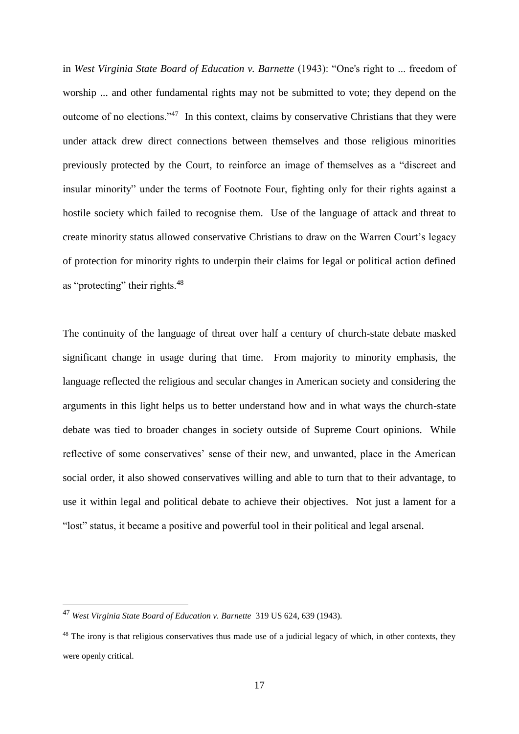in *West Virginia State Board of Education v. Barnette* (1943): "One's right to ... freedom of worship ... and other fundamental rights may not be submitted to vote; they depend on the outcome of no elections."<sup>47</sup> In this context, claims by conservative Christians that they were under attack drew direct connections between themselves and those religious minorities previously protected by the Court, to reinforce an image of themselves as a "discreet and insular minority" under the terms of Footnote Four, fighting only for their rights against a hostile society which failed to recognise them. Use of the language of attack and threat to create minority status allowed conservative Christians to draw on the Warren Court's legacy of protection for minority rights to underpin their claims for legal or political action defined as "protecting" their rights.<sup>48</sup>

The continuity of the language of threat over half a century of church-state debate masked significant change in usage during that time. From majority to minority emphasis, the language reflected the religious and secular changes in American society and considering the arguments in this light helps us to better understand how and in what ways the church-state debate was tied to broader changes in society outside of Supreme Court opinions. While reflective of some conservatives' sense of their new, and unwanted, place in the American social order, it also showed conservatives willing and able to turn that to their advantage, to use it within legal and political debate to achieve their objectives. Not just a lament for a "lost" status, it became a positive and powerful tool in their political and legal arsenal.

<sup>47</sup> *West Virginia State Board of Education v. Barnette* 319 US 624, 639 (1943).

<sup>&</sup>lt;sup>48</sup> The irony is that religious conservatives thus made use of a judicial legacy of which, in other contexts, they were openly critical.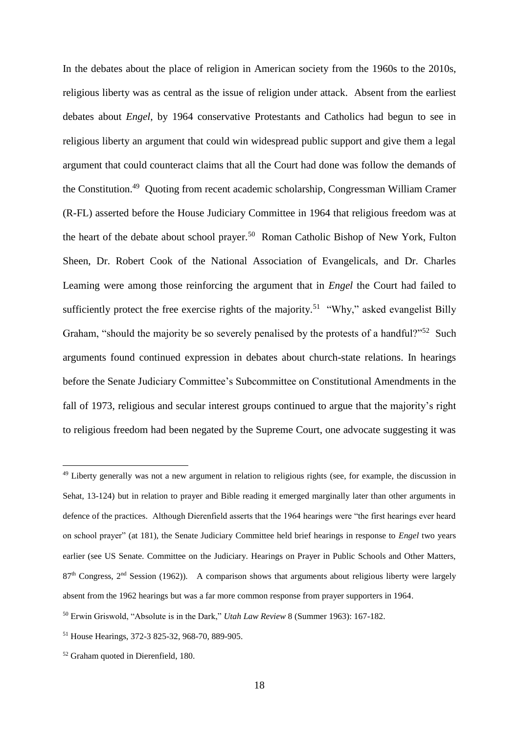In the debates about the place of religion in American society from the 1960s to the 2010s, religious liberty was as central as the issue of religion under attack. Absent from the earliest debates about *Engel*, by 1964 conservative Protestants and Catholics had begun to see in religious liberty an argument that could win widespread public support and give them a legal argument that could counteract claims that all the Court had done was follow the demands of the Constitution.<sup>49</sup> Quoting from recent academic scholarship, Congressman William Cramer (R-FL) asserted before the House Judiciary Committee in 1964 that religious freedom was at the heart of the debate about school prayer.<sup>50</sup> Roman Catholic Bishop of New York, Fulton Sheen, Dr. Robert Cook of the National Association of Evangelicals, and Dr. Charles Leaming were among those reinforcing the argument that in *Engel* the Court had failed to sufficiently protect the free exercise rights of the majority.<sup>51</sup> "Why," asked evangelist Billy Graham, "should the majority be so severely penalised by the protests of a handful?"<sup>52</sup> Such arguments found continued expression in debates about church-state relations. In hearings before the Senate Judiciary Committee's Subcommittee on Constitutional Amendments in the fall of 1973, religious and secular interest groups continued to argue that the majority's right to religious freedom had been negated by the Supreme Court, one advocate suggesting it was

<sup>&</sup>lt;sup>49</sup> Liberty generally was not a new argument in relation to religious rights (see, for example, the discussion in Sehat, 13-124) but in relation to prayer and Bible reading it emerged marginally later than other arguments in defence of the practices. Although Dierenfield asserts that the 1964 hearings were "the first hearings ever heard on school prayer" (at 181), the Senate Judiciary Committee held brief hearings in response to *Engel* two years earlier (see US Senate. Committee on the Judiciary. Hearings on Prayer in Public Schools and Other Matters, 87<sup>th</sup> Congress, 2<sup>nd</sup> Session (1962)). A comparison shows that arguments about religious liberty were largely absent from the 1962 hearings but was a far more common response from prayer supporters in 1964.

<sup>50</sup> Erwin Griswold, "Absolute is in the Dark," *Utah Law Review* 8 (Summer 1963): 167-182.

<sup>51</sup> House Hearings, 372-3 825-32, 968-70, 889-905.

<sup>52</sup> Graham quoted in Dierenfield, 180.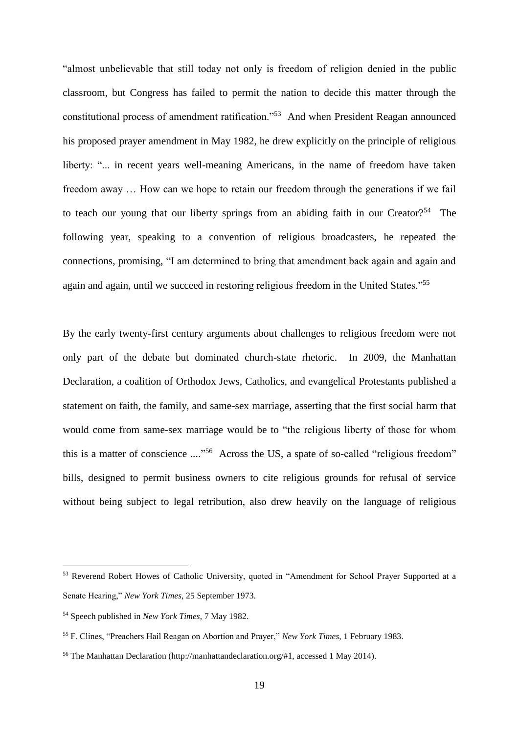"almost unbelievable that still today not only is freedom of religion denied in the public classroom, but Congress has failed to permit the nation to decide this matter through the constitutional process of amendment ratification."<sup>53</sup> And when President Reagan announced his proposed prayer amendment in May 1982, he drew explicitly on the principle of religious liberty: "... in recent years well-meaning Americans, in the name of freedom have taken freedom away … How can we hope to retain our freedom through the generations if we fail to teach our young that our liberty springs from an abiding faith in our Creator?<sup>54</sup> The following year, speaking to a convention of religious broadcasters, he repeated the connections, promising, "I am determined to bring that amendment back again and again and again and again, until we succeed in restoring religious freedom in the United States."<sup>55</sup>

By the early twenty-first century arguments about challenges to religious freedom were not only part of the debate but dominated church-state rhetoric. In 2009, the Manhattan Declaration, a coalition of Orthodox Jews, Catholics, and evangelical Protestants published a statement on faith, the family, and same-sex marriage, asserting that the first social harm that would come from same-sex marriage would be to "the religious liberty of those for whom this is a matter of conscience ...."<sup>56</sup> Across the US, a spate of so-called "religious freedom" bills, designed to permit business owners to cite religious grounds for refusal of service without being subject to legal retribution, also drew heavily on the language of religious

<sup>53</sup> Reverend Robert Howes of Catholic University, quoted in "Amendment for School Prayer Supported at a Senate Hearing," *New York Times*, 25 September 1973.

<sup>54</sup> Speech published in *New York Times*, 7 May 1982.

<sup>55</sup> F. Clines, "Preachers Hail Reagan on Abortion and Prayer," *New York Times*, 1 February 1983.

<sup>56</sup> The Manhattan Declaration (http://manhattandeclaration.org/#1, accessed 1 May 2014).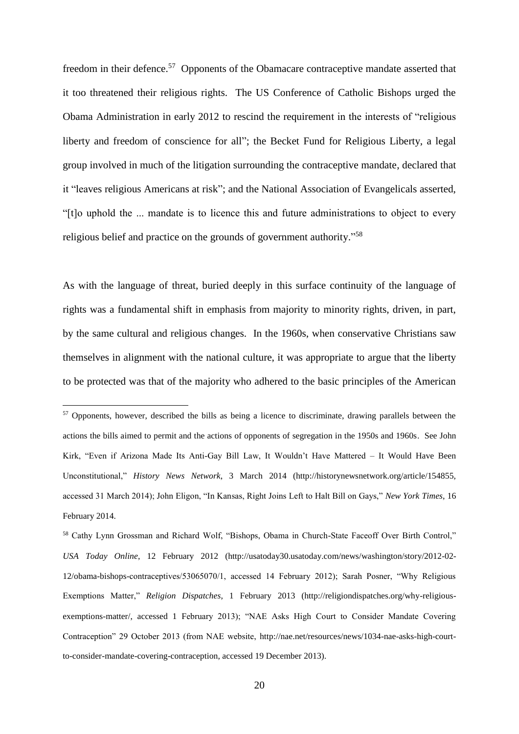freedom in their defence.<sup>57</sup> Opponents of the Obamacare contraceptive mandate asserted that it too threatened their religious rights. The US Conference of Catholic Bishops urged the Obama Administration in early 2012 to rescind the requirement in the interests of "religious liberty and freedom of conscience for all"; the Becket Fund for Religious Liberty, a legal group involved in much of the litigation surrounding the contraceptive mandate, declared that it "leaves religious Americans at risk"; and the National Association of Evangelicals asserted, "[t]o uphold the ... mandate is to licence this and future administrations to object to every religious belief and practice on the grounds of government authority."<sup>58</sup>

As with the language of threat, buried deeply in this surface continuity of the language of rights was a fundamental shift in emphasis from majority to minority rights, driven, in part, by the same cultural and religious changes. In the 1960s, when conservative Christians saw themselves in alignment with the national culture, it was appropriate to argue that the liberty to be protected was that of the majority who adhered to the basic principles of the American

<sup>&</sup>lt;sup>57</sup> Opponents, however, described the bills as being a licence to discriminate, drawing parallels between the actions the bills aimed to permit and the actions of opponents of segregation in the 1950s and 1960s. See John Kirk, "Even if Arizona Made Its Anti-Gay Bill Law, It Wouldn't Have Mattered – It Would Have Been Unconstitutional," *History News Network*, 3 March 2014 (http://historynewsnetwork.org/article/154855, accessed 31 March 2014); John Eligon, "In Kansas, Right Joins Left to Halt Bill on Gays," *New York Times*, 16 February 2014.

<sup>58</sup> Cathy Lynn Grossman and Richard Wolf, "Bishops, Obama in Church-State Faceoff Over Birth Control," *USA Today Online*, 12 February 2012 (http://usatoday30.usatoday.com/news/washington/story/2012-02- 12/obama-bishops-contraceptives/53065070/1, accessed 14 February 2012); Sarah Posner, "Why Religious Exemptions Matter," *Religion Dispatches*, 1 February 2013 (http://religiondispatches.org/why-religiousexemptions-matter/, accessed 1 February 2013); "NAE Asks High Court to Consider Mandate Covering Contraception" 29 October 2013 (from NAE website, http://nae.net/resources/news/1034-nae-asks-high-courtto-consider-mandate-covering-contraception, accessed 19 December 2013).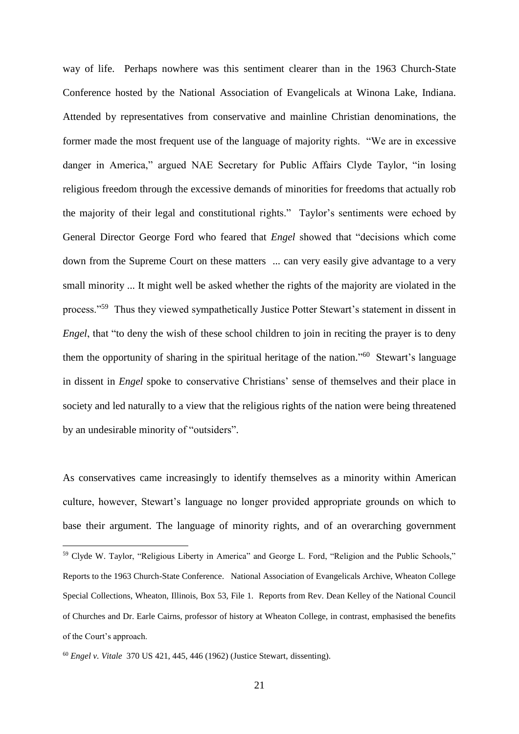way of life. Perhaps nowhere was this sentiment clearer than in the 1963 Church-State Conference hosted by the National Association of Evangelicals at Winona Lake, Indiana. Attended by representatives from conservative and mainline Christian denominations, the former made the most frequent use of the language of majority rights. "We are in excessive danger in America," argued NAE Secretary for Public Affairs Clyde Taylor, "in losing religious freedom through the excessive demands of minorities for freedoms that actually rob the majority of their legal and constitutional rights." Taylor's sentiments were echoed by General Director George Ford who feared that *Engel* showed that "decisions which come down from the Supreme Court on these matters ... can very easily give advantage to a very small minority ... It might well be asked whether the rights of the majority are violated in the process."<sup>59</sup> Thus they viewed sympathetically Justice Potter Stewart's statement in dissent in *Engel*, that "to deny the wish of these school children to join in reciting the prayer is to deny them the opportunity of sharing in the spiritual heritage of the nation."<sup>60</sup> Stewart's language in dissent in *Engel* spoke to conservative Christians' sense of themselves and their place in society and led naturally to a view that the religious rights of the nation were being threatened by an undesirable minority of "outsiders".

As conservatives came increasingly to identify themselves as a minority within American culture, however, Stewart's language no longer provided appropriate grounds on which to base their argument. The language of minority rights, and of an overarching government

<sup>59</sup> Clyde W. Taylor, "Religious Liberty in America" and George L. Ford, "Religion and the Public Schools," Reports to the 1963 Church-State Conference. National Association of Evangelicals Archive, Wheaton College Special Collections, Wheaton, Illinois, Box 53, File 1. Reports from Rev. Dean Kelley of the National Council of Churches and Dr. Earle Cairns, professor of history at Wheaton College, in contrast, emphasised the benefits of the Court's approach.

<sup>60</sup> *Engel v. Vitale* 370 US 421, 445, 446 (1962) (Justice Stewart, dissenting).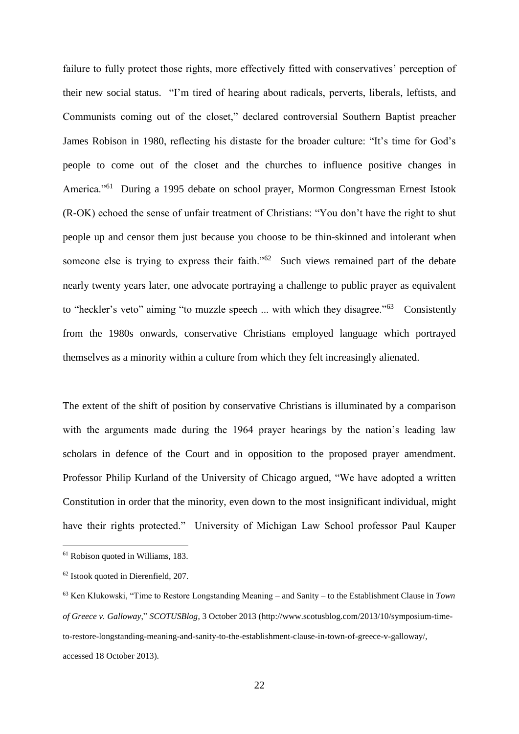failure to fully protect those rights, more effectively fitted with conservatives' perception of their new social status. "I'm tired of hearing about radicals, perverts, liberals, leftists, and Communists coming out of the closet," declared controversial Southern Baptist preacher James Robison in 1980, reflecting his distaste for the broader culture: "It's time for God's people to come out of the closet and the churches to influence positive changes in America."<sup>61</sup> During a 1995 debate on school prayer, Mormon Congressman Ernest Istook (R-OK) echoed the sense of unfair treatment of Christians: "You don't have the right to shut people up and censor them just because you choose to be thin-skinned and intolerant when someone else is trying to express their faith."<sup>62</sup> Such views remained part of the debate nearly twenty years later, one advocate portraying a challenge to public prayer as equivalent to "heckler's veto" aiming "to muzzle speech ... with which they disagree."<sup>63</sup> Consistently from the 1980s onwards, conservative Christians employed language which portrayed themselves as a minority within a culture from which they felt increasingly alienated.

The extent of the shift of position by conservative Christians is illuminated by a comparison with the arguments made during the 1964 prayer hearings by the nation's leading law scholars in defence of the Court and in opposition to the proposed prayer amendment. Professor Philip Kurland of the University of Chicago argued, "We have adopted a written Constitution in order that the minority, even down to the most insignificant individual, might have their rights protected." University of Michigan Law School professor Paul Kauper

<sup>61</sup> Robison quoted in Williams, 183.

<sup>62</sup> Istook quoted in Dierenfield, 207.

<sup>63</sup> Ken Klukowski, "Time to Restore Longstanding Meaning – and Sanity – to the Establishment Clause in *Town of Greece v. Galloway*," *SCOTUSBlog*, 3 October 2013 (http://www.scotusblog.com/2013/10/symposium-timeto-restore-longstanding-meaning-and-sanity-to-the-establishment-clause-in-town-of-greece-v-galloway/, accessed 18 October 2013).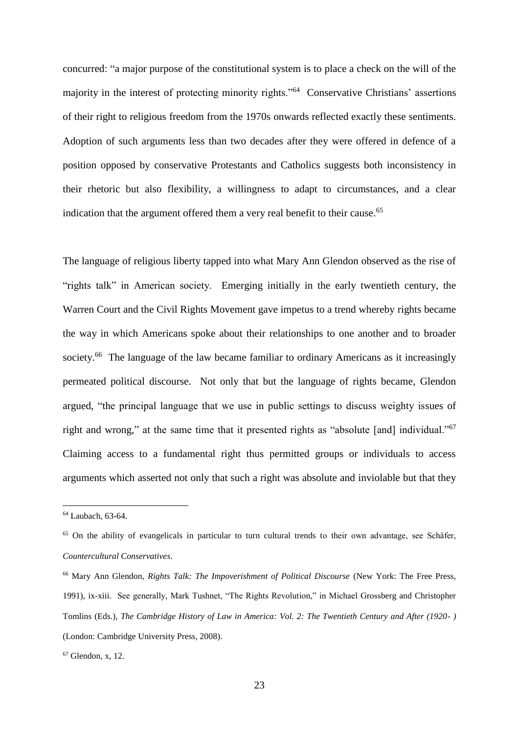concurred: "a major purpose of the constitutional system is to place a check on the will of the majority in the interest of protecting minority rights."<sup>64</sup> Conservative Christians' assertions of their right to religious freedom from the 1970s onwards reflected exactly these sentiments. Adoption of such arguments less than two decades after they were offered in defence of a position opposed by conservative Protestants and Catholics suggests both inconsistency in their rhetoric but also flexibility, a willingness to adapt to circumstances, and a clear indication that the argument offered them a very real benefit to their cause.<sup>65</sup>

The language of religious liberty tapped into what Mary Ann Glendon observed as the rise of "rights talk" in American society. Emerging initially in the early twentieth century, the Warren Court and the Civil Rights Movement gave impetus to a trend whereby rights became the way in which Americans spoke about their relationships to one another and to broader society.<sup>66</sup> The language of the law became familiar to ordinary Americans as it increasingly permeated political discourse. Not only that but the language of rights became, Glendon argued, "the principal language that we use in public settings to discuss weighty issues of right and wrong," at the same time that it presented rights as "absolute [and] individual."<sup>67</sup> Claiming access to a fundamental right thus permitted groups or individuals to access arguments which asserted not only that such a right was absolute and inviolable but that they

<sup>64</sup> Laubach, 63-64.

<sup>65</sup> On the ability of evangelicals in particular to turn cultural trends to their own advantage, see Schӓfer, *Countercultural Conservatives*.

<sup>66</sup> Mary Ann Glendon, *Rights Talk: The Impoverishment of Political Discourse* (New York: The Free Press, 1991), ix-xiii. See generally, Mark Tushnet, "The Rights Revolution," in Michael Grossberg and Christopher Tomlins (Eds.), *The Cambridge History of Law in America: Vol. 2: The Twentieth Century and After (1920- )* (London: Cambridge University Press, 2008).

 $67$  Glendon, x, 12.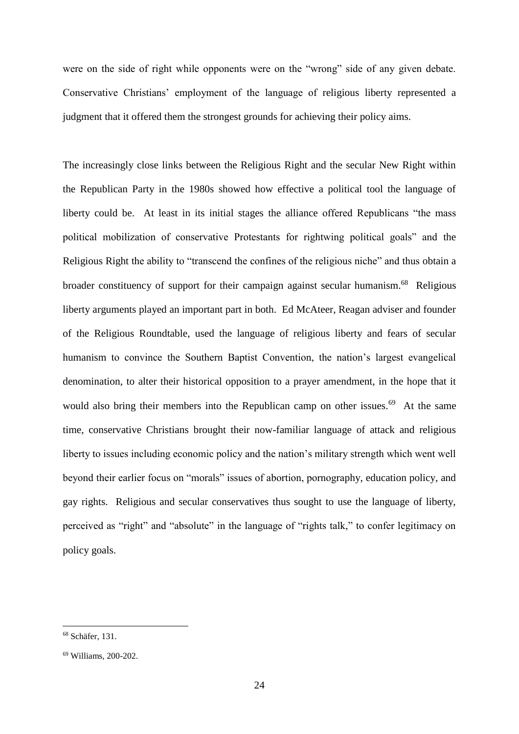were on the side of right while opponents were on the "wrong" side of any given debate. Conservative Christians' employment of the language of religious liberty represented a judgment that it offered them the strongest grounds for achieving their policy aims.

The increasingly close links between the Religious Right and the secular New Right within the Republican Party in the 1980s showed how effective a political tool the language of liberty could be. At least in its initial stages the alliance offered Republicans "the mass political mobilization of conservative Protestants for rightwing political goals" and the Religious Right the ability to "transcend the confines of the religious niche" and thus obtain a broader constituency of support for their campaign against secular humanism.<sup>68</sup> Religious liberty arguments played an important part in both. Ed McAteer, Reagan adviser and founder of the Religious Roundtable, used the language of religious liberty and fears of secular humanism to convince the Southern Baptist Convention, the nation's largest evangelical denomination, to alter their historical opposition to a prayer amendment, in the hope that it would also bring their members into the Republican camp on other issues.<sup>69</sup> At the same time, conservative Christians brought their now-familiar language of attack and religious liberty to issues including economic policy and the nation's military strength which went well beyond their earlier focus on "morals" issues of abortion, pornography, education policy, and gay rights. Religious and secular conservatives thus sought to use the language of liberty, perceived as "right" and "absolute" in the language of "rights talk," to confer legitimacy on policy goals.

<sup>68</sup> Schäfer, 131.

<sup>69</sup> Williams, 200-202.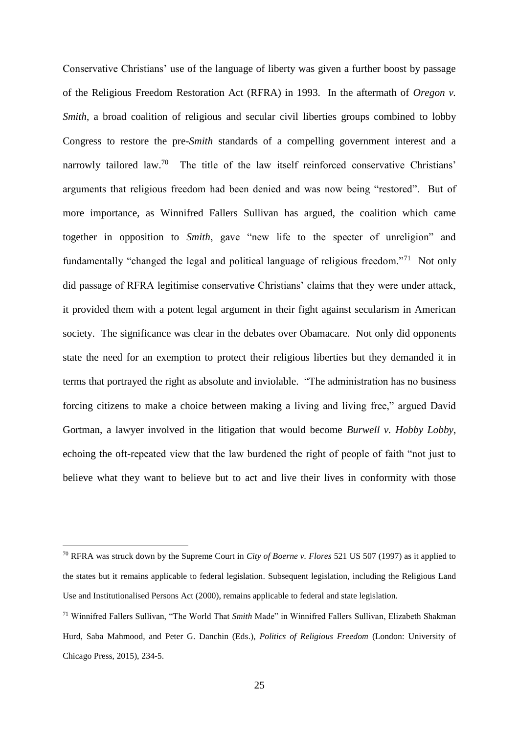Conservative Christians' use of the language of liberty was given a further boost by passage of the Religious Freedom Restoration Act (RFRA) in 1993. In the aftermath of *Oregon v. Smith*, a broad coalition of religious and secular civil liberties groups combined to lobby Congress to restore the pre-*Smith* standards of a compelling government interest and a narrowly tailored law.<sup>70</sup> The title of the law itself reinforced conservative Christians' arguments that religious freedom had been denied and was now being "restored". But of more importance, as Winnifred Fallers Sullivan has argued, the coalition which came together in opposition to *Smith*, gave "new life to the specter of unreligion" and fundamentally "changed the legal and political language of religious freedom."<sup>71</sup> Not only did passage of RFRA legitimise conservative Christians' claims that they were under attack, it provided them with a potent legal argument in their fight against secularism in American society. The significance was clear in the debates over Obamacare. Not only did opponents state the need for an exemption to protect their religious liberties but they demanded it in terms that portrayed the right as absolute and inviolable. "The administration has no business forcing citizens to make a choice between making a living and living free," argued David Gortman, a lawyer involved in the litigation that would become *Burwell v. Hobby Lobby*, echoing the oft-repeated view that the law burdened the right of people of faith "not just to believe what they want to believe but to act and live their lives in conformity with those

<sup>70</sup> RFRA was struck down by the Supreme Court in *City of Boerne v. Flores* 521 US 507 (1997) as it applied to the states but it remains applicable to federal legislation. Subsequent legislation, including the Religious Land Use and Institutionalised Persons Act (2000), remains applicable to federal and state legislation.

<sup>71</sup> Winnifred Fallers Sullivan, "The World That *Smith* Made" in Winnifred Fallers Sullivan, Elizabeth Shakman Hurd, Saba Mahmood, and Peter G. Danchin (Eds.), *Politics of Religious Freedom* (London: University of Chicago Press, 2015), 234-5.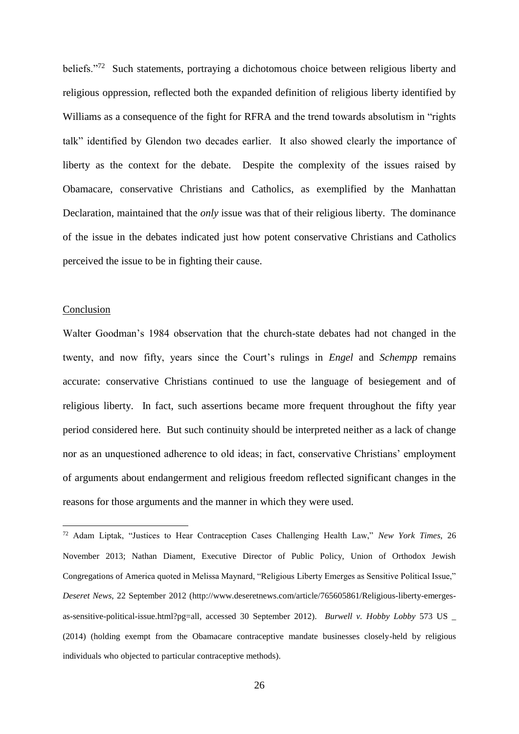beliefs."<sup>72</sup> Such statements, portraying a dichotomous choice between religious liberty and religious oppression, reflected both the expanded definition of religious liberty identified by Williams as a consequence of the fight for RFRA and the trend towards absolutism in "rights talk" identified by Glendon two decades earlier. It also showed clearly the importance of liberty as the context for the debate. Despite the complexity of the issues raised by Obamacare, conservative Christians and Catholics, as exemplified by the Manhattan Declaration, maintained that the *only* issue was that of their religious liberty. The dominance of the issue in the debates indicated just how potent conservative Christians and Catholics perceived the issue to be in fighting their cause.

## Conclusion

1

Walter Goodman's 1984 observation that the church-state debates had not changed in the twenty, and now fifty, years since the Court's rulings in *Engel* and *Schempp* remains accurate: conservative Christians continued to use the language of besiegement and of religious liberty. In fact, such assertions became more frequent throughout the fifty year period considered here. But such continuity should be interpreted neither as a lack of change nor as an unquestioned adherence to old ideas; in fact, conservative Christians' employment of arguments about endangerment and religious freedom reflected significant changes in the reasons for those arguments and the manner in which they were used.

<sup>72</sup> Adam Liptak, "Justices to Hear Contraception Cases Challenging Health Law," *New York Times*, 26 November 2013; Nathan Diament, Executive Director of Public Policy, Union of Orthodox Jewish Congregations of America quoted in Melissa Maynard, "Religious Liberty Emerges as Sensitive Political Issue," *Deseret News*, 22 September 2012 (http://www.deseretnews.com/article/765605861/Religious-liberty-emergesas-sensitive-political-issue.html?pg=all, accessed 30 September 2012). *Burwell v. Hobby Lobby* 573 US \_ (2014) (holding exempt from the Obamacare contraceptive mandate businesses closely-held by religious individuals who objected to particular contraceptive methods).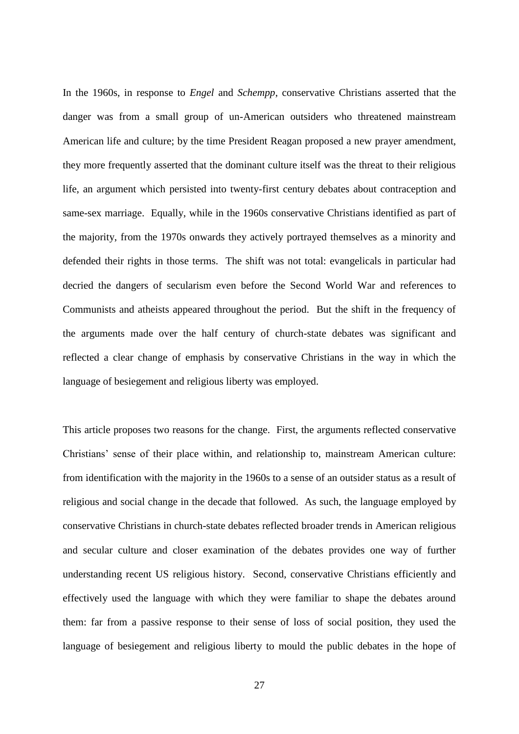In the 1960s, in response to *Engel* and *Schempp*, conservative Christians asserted that the danger was from a small group of un-American outsiders who threatened mainstream American life and culture; by the time President Reagan proposed a new prayer amendment, they more frequently asserted that the dominant culture itself was the threat to their religious life, an argument which persisted into twenty-first century debates about contraception and same-sex marriage. Equally, while in the 1960s conservative Christians identified as part of the majority, from the 1970s onwards they actively portrayed themselves as a minority and defended their rights in those terms. The shift was not total: evangelicals in particular had decried the dangers of secularism even before the Second World War and references to Communists and atheists appeared throughout the period. But the shift in the frequency of the arguments made over the half century of church-state debates was significant and reflected a clear change of emphasis by conservative Christians in the way in which the language of besiegement and religious liberty was employed.

This article proposes two reasons for the change. First, the arguments reflected conservative Christians' sense of their place within, and relationship to, mainstream American culture: from identification with the majority in the 1960s to a sense of an outsider status as a result of religious and social change in the decade that followed. As such, the language employed by conservative Christians in church-state debates reflected broader trends in American religious and secular culture and closer examination of the debates provides one way of further understanding recent US religious history. Second, conservative Christians efficiently and effectively used the language with which they were familiar to shape the debates around them: far from a passive response to their sense of loss of social position, they used the language of besiegement and religious liberty to mould the public debates in the hope of